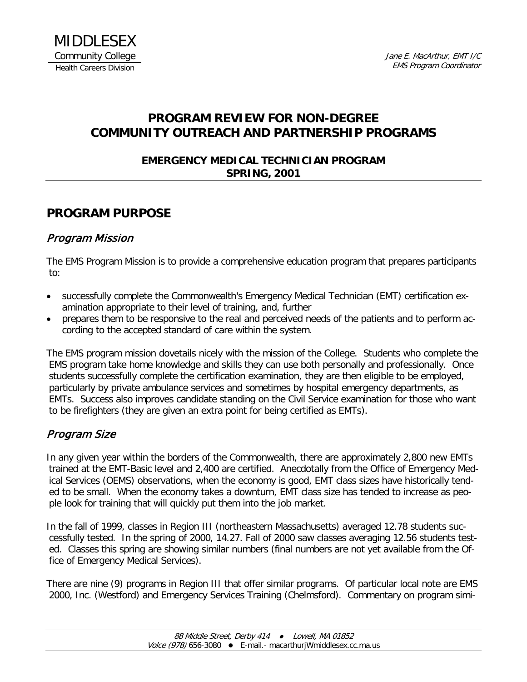## **PROGRAM REVIEW FOR NON-DEGREE COMMUNITY OUTREACH AND PARTNERSHIP PROGRAMS**

#### **EMERGENCY MEDICAL TECHNICIAN PROGRAM SPRING, 2001**

## **PROGRAM PURPOSE**

#### Program Mission

The EMS Program Mission is to provide a comprehensive education program that prepares participants to:

- successfully complete the Commonwealth's Emergency Medical Technician (EMT) certification examination appropriate to their level of training, and, further
- prepares them to be responsive to the real and perceived needs of the patients and to perform according to the accepted standard of care within the system.

The EMS program mission dovetails nicely with the mission of the College. Students who complete the EMS program take home knowledge and skills they can use both personally and professionally. Once students successfully complete the certification examination, they are then eligible to be employed, particularly by private ambulance services and sometimes by hospital emergency departments, as EMTs. Success also improves candidate standing on the Civil Service examination for those who want to be firefighters (they are given an extra point for being certified as EMTs).

#### Program Size

In any given year within the borders of the Commonwealth, there are approximately 2,800 new EMTs trained at the EMT-Basic level and 2,400 are certified. Anecdotally from the Office of Emergency Medical Services (OEMS) observations, when the economy is good, EMT class sizes have historically tended to be small. When the economy takes a downturn, EMT class size has tended to increase as people look for training that will quickly put them into the job market.

In the fall of 1999, classes in Region III (northeastern Massachusetts) averaged 12.78 students successfully tested. In the spring of 2000, 14.27. Fall of 2000 saw classes averaging 12.56 students tested. Classes this spring are showing similar numbers (final numbers are not yet available from the Office of Emergency Medical Services).

There are nine (9) programs in Region III that offer similar programs. Of particular local note are EMS 2000, Inc. (Westford) and Emergency Services Training (Chelmsford). Commentary on program simi-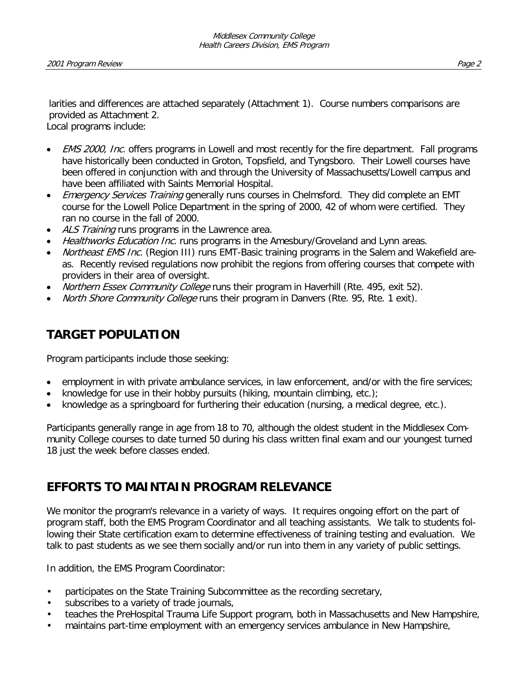larities and differences are attached separately (Attachment 1). Course numbers comparisons are provided as Attachment 2.

Local programs include:

- **EMS 2000, Inc.** offers programs in Lowell and most recently for the fire department. Fall programs have historically been conducted in Groton, Topsfield, and Tyngsboro. Their Lowell courses have been offered in conjunction with and through the University of Massachusetts/Lowell campus and have been affiliated with Saints Memorial Hospital.
- **Emergency Services Training generally runs courses in Chelmsford. They did complete an EMT** course for the Lowell Police Department in the spring of 2000, 42 of whom were certified. They ran no course in the fall of 2000.
- ALS Training runs programs in the Lawrence area.
- Healthworks Education Inc. runs programs in the Amesbury/Groveland and Lynn areas.
- Northeast EMS Inc. (Region III) runs EMT-Basic training programs in the Salem and Wakefield areas. Recently revised regulations now prohibit the regions from offering courses that compete with providers in their area of oversight.
- Northern Essex Community College runs their program in Haverhill (Rte. 495, exit 52).
- North Shore Community College runs their program in Danvers (Rte. 95, Rte. 1 exit).

## **TARGET POPULATION**

Program participants include those seeking:

- employment in with private ambulance services, in law enforcement, and/or with the fire services;
- knowledge for use in their hobby pursuits (hiking, mountain climbing, etc.);
- knowledge as a springboard for furthering their education (nursing, a medical degree, etc.).

Participants generally range in age from 18 to 70, although the oldest student in the Middlesex Community College courses to date turned 50 during his class written final exam and our youngest turned 18 just the week before classes ended.

## **EFFORTS TO MAINTAIN PROGRAM RELEVANCE**

We monitor the program's relevance in a variety of ways. It requires ongoing effort on the part of program staff, both the EMS Program Coordinator and all teaching assistants. We talk to students following their State certification exam to determine effectiveness of training testing and evaluation. We talk to past students as we see them socially and/or run into them in any variety of public settings.

In addition, the EMS Program Coordinator:

- participates on the State Training Subcommittee as the recording secretary,
- subscribes to a variety of trade journals,
- teaches the PreHospital Trauma Life Support program, both in Massachusetts and New Hampshire,
- maintains part-time employment with an emergency services ambulance in New Hampshire,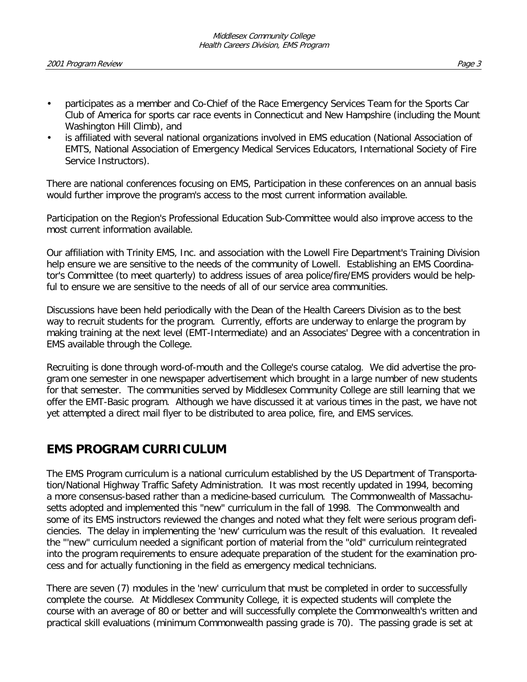- participates as a member and Co-Chief of the Race Emergency Services Team for the Sports Car Club of America for sports car race events in Connecticut and New Hampshire (including the Mount Washington Hill Climb), and
- is affiliated with several national organizations involved in EMS education (National Association of EMTS, National Association of Emergency Medical Services Educators, International Society of Fire Service Instructors).

There are national conferences focusing on EMS, Participation in these conferences on an annual basis would further improve the program's access to the most current information available.

Participation on the Region's Professional Education Sub-Committee would also improve access to the most current information available.

Our affiliation with Trinity EMS, Inc. and association with the Lowell Fire Department's Training Division help ensure we are sensitive to the needs of the community of Lowell. Establishing an EMS Coordinator's Committee (to meet quarterly) to address issues of area police/fire/EMS providers would be helpful to ensure we are sensitive to the needs of all of our service area communities.

Discussions have been held periodically with the Dean of the Health Careers Division as to the best way to recruit students for the program. Currently, efforts are underway to enlarge the program by making training at the next level (EMT-Intermediate) and an Associates' Degree with a concentration in EMS available through the College.

Recruiting is done through word-of-mouth and the College's course catalog. We did advertise the program one semester in one newspaper advertisement which brought in a large number of new students for that semester. The communities served by Middlesex Community College are still learning that we offer the EMT-Basic program. Although we have discussed it at various times in the past, we have not yet attempted a direct mail flyer to be distributed to area police, fire, and EMS services.

#### **EMS PROGRAM CURRICULUM**

The EMS Program curriculum is a national curriculum established by the US Department of Transportation/National Highway Traffic Safety Administration. It was most recently updated in 1994, becoming a more consensus-based rather than a medicine-based curriculum. The Commonwealth of Massachusetts adopted and implemented this "new" curriculum in the fall of 1998. The Commonwealth and some of its EMS instructors reviewed the changes and noted what they felt were serious program deficiencies. The delay in implementing the 'new' curriculum was the result of this evaluation. It revealed the "'new" curriculum needed a significant portion of material from the "old" curriculum reintegrated into the program requirements to ensure adequate preparation of the student for the examination process and for actually functioning in the field as emergency medical technicians.

There are seven (7) modules in the 'new' curriculum that must be completed in order to successfully complete the course. At Middlesex Community College, it is expected students will complete the course with an average of 80 or better and will successfully complete the Commonwealth's written and practical skill evaluations (minimum Commonwealth passing grade is 70). The passing grade is set at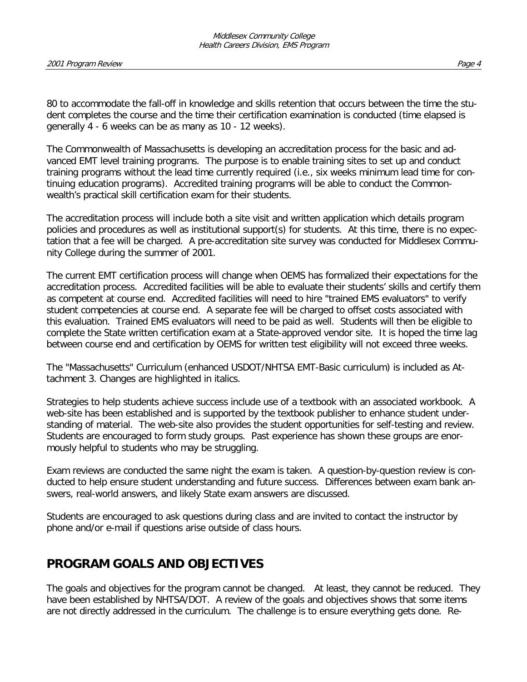80 to accommodate the fall-off in knowledge and skills retention that occurs between the time the student completes the course and the time their certification examination is conducted (time elapsed is generally 4 - 6 weeks can be as many as 10 - 12 weeks).

The Commonwealth of Massachusetts is developing an accreditation process for the basic and advanced EMT level training programs. The purpose is to enable training sites to set up and conduct training programs without the lead time currently required (i.e., six weeks minimum lead time for continuing education programs). Accredited training programs will be able to conduct the Commonwealth's practical skill certification exam for their students.

The accreditation process will include both a site visit and written application which details program policies and procedures as well as institutional support(s) for students. At this time, there is no expectation that a fee will be charged. A pre-accreditation site survey was conducted for Middlesex Community College during the summer of 2001.

The current EMT certification process will change when OEMS has formalized their expectations for the accreditation process. Accredited facilities will be able to evaluate their students' skills and certify them as competent at course end. Accredited facilities will need to hire "trained EMS evaluators" to verify student competencies at course end. A separate fee will be charged to offset costs associated with this evaluation. Trained EMS evaluators will need to be paid as well. Students will then be eligible to complete the State written certification exam at a State-approved vendor site. It is hoped the time lag between course end and certification by OEMS for written test eligibility will not exceed three weeks.

The "Massachusetts" Curriculum (enhanced USDOT/NHTSA EMT-Basic curriculum) is included as Attachment 3. Changes are highlighted in italics.

Strategies to help students achieve success include use of a textbook with an associated workbook. A web-site has been established and is supported by the textbook publisher to enhance student understanding of material. The web-site also provides the student opportunities for self-testing and review. Students are encouraged to form study groups. Past experience has shown these groups are enormously helpful to students who may be struggling.

Exam reviews are conducted the same night the exam is taken. A question-by-question review is conducted to help ensure student understanding and future success. Differences between exam bank answers, real-world answers, and likely State exam answers are discussed.

Students are encouraged to ask questions during class and are invited to contact the instructor by phone and/or e-mail if questions arise outside of class hours.

# **PROGRAM GOALS AND OBJECTIVES**

The goals and objectives for the program cannot be changed. At least, they cannot be reduced. They have been established by NHTSA/DOT. A review of the goals and objectives shows that some items are not directly addressed in the curriculum. The challenge is to ensure everything gets done. Re-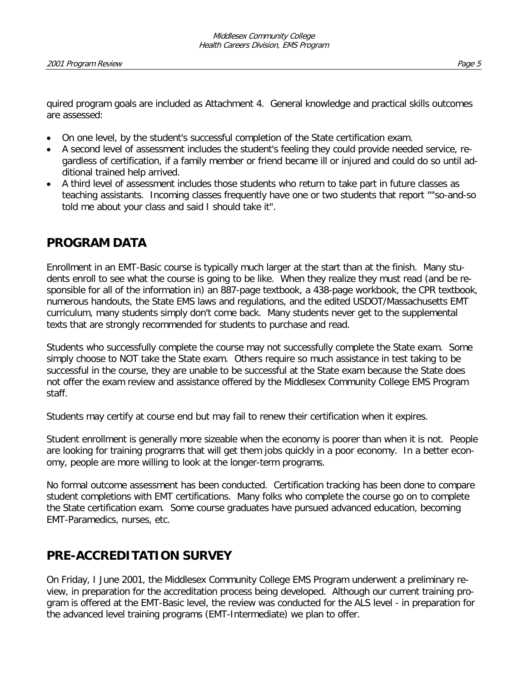quired program goals are included as Attachment 4. General knowledge and practical skills outcomes are assessed:

- On one level, by the student's successful completion of the State certification exam.
- A second level of assessment includes the student's feeling they could provide needed service, regardless of certification, if a family member or friend became ill or injured and could do so until additional trained help arrived.
- A third level of assessment includes those students who return to take part in future classes as teaching assistants. Incoming classes frequently have one or two students that report ""so-and-so told me about your class and said I should take it".

## **PROGRAM DATA**

Enrollment in an EMT-Basic course is typically much larger at the start than at the finish. Many students enroll to see what the course is going to be like. When they realize they must read (and be responsible for all of the information in) an 887-page textbook, a 438-page workbook, the CPR textbook, numerous handouts, the State EMS laws and regulations, and the edited USDOT/Massachusetts EMT curriculum, many students simply don't come back. Many students never get to the supplemental texts that are strongly recommended for students to purchase and read.

Students who successfully complete the course may not successfully complete the State exam. Some simply choose to NOT take the State exam. Others require so much assistance in test taking to be successful in the course, they are unable to be successful at the State exam because the State does not offer the exam review and assistance offered by the Middlesex Community College EMS Program staff.

Students may certify at course end but may fail to renew their certification when it expires.

Student enrollment is generally more sizeable when the economy is poorer than when it is not. People are looking for training programs that will get them jobs quickly in a poor economy. In a better economy, people are more willing to look at the longer-term programs.

No formal outcome assessment has been conducted. Certification tracking has been done to compare student completions with EMT certifications. Many folks who complete the course go on to complete the State certification exam. Some course graduates have pursued advanced education, becoming EMT-Paramedics, nurses, etc.

# **PRE-ACCREDITATION SURVEY**

On Friday, I June 2001, the Middlesex Community College EMS Program underwent a preliminary review, in preparation for the accreditation process being developed. Although our current training program is offered at the EMT-Basic level, the review was conducted for the ALS level - in preparation for the advanced level training programs (EMT-Intermediate) we plan to offer.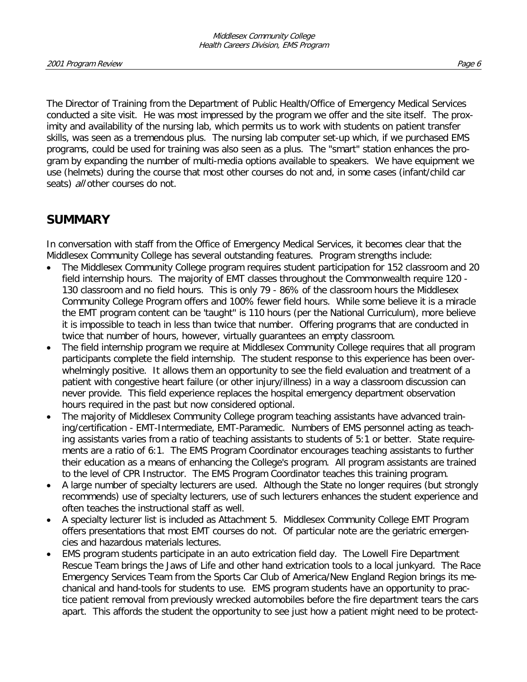The Director of Training from the Department of Public Health/Office of Emergency Medical Services conducted a site visit. He was most impressed by the program we offer and the site itself. The proximity and availability of the nursing lab, which permits us to work with students on patient transfer skills, was seen as a tremendous plus. The nursing lab computer set-up which, if we purchased EMS programs, could be used for training was also seen as a plus. The "smart" station enhances the program by expanding the number of multi-media options available to speakers. We have equipment we use (helmets) during the course that most other courses do not and, in some cases (infant/child car seats) all other courses do not.

#### **SUMMARY**

In conversation with staff from the Office of Emergency Medical Services, it becomes clear that the Middlesex Community College has several outstanding features. Program strengths include:

- The Middlesex Community College program requires student participation for 152 classroom and 20 field internship hours. The majority of EMT classes throughout the Commonwealth require 120 - 130 classroom and no field hours. This is only 79 - 86% of the classroom hours the Middlesex Community College Program offers and 100% fewer field hours. While some believe it is a miracle the EMT program content can be 'taught" is 110 hours (per the National Curriculum), more believe it is impossible to teach in less than twice that number. Offering programs that are conducted in twice that number of hours, however, virtually guarantees an empty classroom.
- The field internship program we require at Middlesex Community College requires that all program participants complete the field internship. The student response to this experience has been overwhelmingly positive. It allows them an opportunity to see the field evaluation and treatment of a patient with congestive heart failure (or other injury/illness) in a way a classroom discussion can never provide. This field experience replaces the hospital emergency department observation hours required in the past but now considered optional.
- The majority of Middlesex Community College program teaching assistants have advanced training/certification - EMT-Intermediate, EMT-Paramedic. Numbers of EMS personnel acting as teaching assistants varies from a ratio of teaching assistants to students of 5:1 or better. State requirements are a ratio of 6:1. The EMS Program Coordinator encourages teaching assistants to further their education as a means of enhancing the College's program. All program assistants are trained to the level of CPR Instructor. The EMS Program Coordinator teaches this training program.
- A large number of specialty lecturers are used. Although the State no longer requires (but strongly recommends) use of specialty lecturers, use of such lecturers enhances the student experience and often teaches the instructional staff as well.
- A specialty lecturer list is included as Attachment 5. Middlesex Community College EMT Program offers presentations that most EMT courses do not. Of particular note are the geriatric emergencies and hazardous materials lectures.
- EMS program students participate in an auto extrication field day. The Lowell Fire Department Rescue Team brings the Jaws of Life and other hand extrication tools to a local junkyard. The Race Emergency Services Team from the Sports Car Club of America/New England Region brings its mechanical and hand-tools for students to use. EMS program students have an opportunity to practice patient removal from previously wrecked automobiles before the fire department tears the cars apart. This affords the student the opportunity to see just how a patient might need to be protect-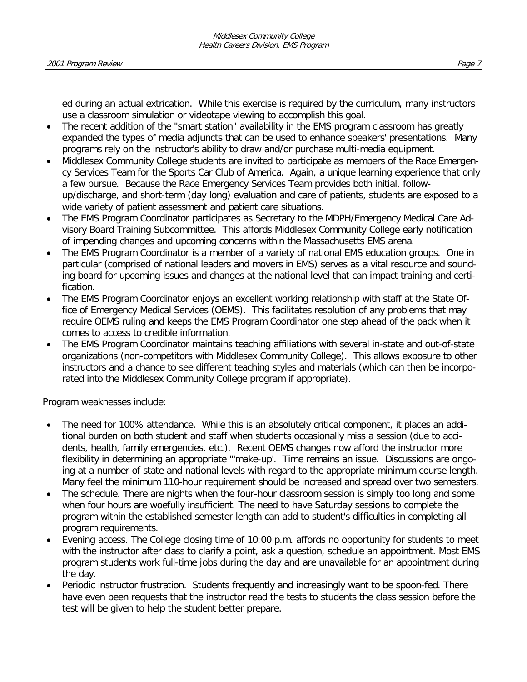ed during an actual extrication. While this exercise is required by the curriculum, many instructors use a classroom simulation or videotape viewing to accomplish this goal.

- The recent addition of the "smart station" availability in the EMS program classroom has greatly expanded the types of media adjuncts that can be used to enhance speakers' presentations. Many programs rely on the instructor's ability to draw and/or purchase multi-media equipment.
- Middlesex Community College students are invited to participate as members of the Race Emergency Services Team for the Sports Car Club of America. Again, a unique learning experience that only a few pursue. Because the Race Emergency Services Team provides both initial, followup/discharge, and short-term (day long) evaluation and care of patients, students are exposed to a wide variety of patient assessment and patient care situations.
- The EMS Program Coordinator participates as Secretary to the MDPH/Emergency Medical Care Advisory Board Training Subcommittee. This affords Middlesex Community College early notification of impending changes and upcoming concerns within the Massachusetts EMS arena.
- The EMS Program Coordinator is a member of a variety of national EMS education groups. One in particular (comprised of national leaders and movers in EMS) serves as a vital resource and sounding board for upcoming issues and changes at the national level that can impact training and certification.
- The EMS Program Coordinator enjoys an excellent working relationship with staff at the State Office of Emergency Medical Services (OEMS). This facilitates resolution of any problems that may require OEMS ruling and keeps the EMS Program Coordinator one step ahead of the pack when it comes to access to credible information.
- The EMS Program Coordinator maintains teaching affiliations with several in-state and out-of-state organizations (non-competitors with Middlesex Community College). This allows exposure to other instructors and a chance to see different teaching styles and materials (which can then be incorporated into the Middlesex Community College program if appropriate).

Program weaknesses include:

- The need for 100% attendance. While this is an absolutely critical component, it places an additional burden on both student and staff when students occasionally miss a session (due to accidents, health, family emergencies, etc.). Recent OEMS changes now afford the instructor more flexibility in determining an appropriate "'make-up'. Time remains an issue. Discussions are ongoing at a number of state and national levels with regard to the appropriate minimum course length. Many feel the minimum 110-hour requirement should be increased and spread over two semesters.
- The schedule. There are nights when the four-hour classroom session is simply too long and some when four hours are woefully insufficient. The need to have Saturday sessions to complete the program within the established semester length can add to student's difficulties in completing all program requirements.
- Evening access. The College closing time of 10:00 p.m. affords no opportunity for students to meet with the instructor after class to clarify a point, ask a question, schedule an appointment. Most EMS program students work full-time jobs during the day and are unavailable for an appointment during the day.
- Periodic instructor frustration. Students frequently and increasingly want to be spoon-fed. There have even been requests that the instructor read the tests to students the class session before the test will be given to help the student better prepare.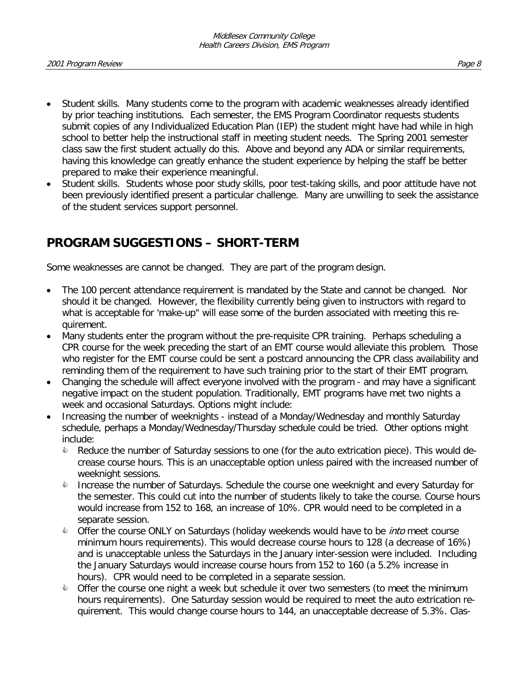- Student skills. Many students come to the program with academic weaknesses already identified by prior teaching institutions. Each semester, the EMS Program Coordinator requests students submit copies of any Individualized Education Plan (IEP) the student might have had while in high school to better help the instructional staff in meeting student needs. The Spring 2001 semester class saw the first student actually do this. Above and beyond any ADA or similar requirements, having this knowledge can greatly enhance the student experience by helping the staff be better prepared to make their experience meaningful.
- Student skills. Students whose poor study skills, poor test-taking skills, and poor attitude have not been previously identified present a particular challenge. Many are unwilling to seek the assistance of the student services support personnel.

# **PROGRAM SUGGESTIONS – SHORT-TERM**

Some weaknesses are cannot be changed. They are part of the program design.

- The 100 percent attendance requirement is mandated by the State and cannot be changed. Nor should it be changed. However, the flexibility currently being given to instructors with regard to what is acceptable for 'make-up" will ease some of the burden associated with meeting this requirement.
- Many students enter the program without the pre-requisite CPR training. Perhaps scheduling a CPR course for the week preceding the start of an EMT course would alleviate this problem. Those who register for the EMT course could be sent a postcard announcing the CPR class availability and reminding them of the requirement to have such training prior to the start of their EMT program.
- Changing the schedule will affect everyone involved with the program and may have a significant negative impact on the student population. Traditionally, EMT programs have met two nights a week and occasional Saturdays. Options might include:
- Increasing the number of weeknights instead of a Monday/Wednesday and monthly Saturday schedule, perhaps a Monday/Wednesday/Thursday schedule could be tried. Other options might include:
	- $\bullet$  Reduce the number of Saturday sessions to one (for the auto extrication piece). This would decrease course hours. This is an unacceptable option unless paired with the increased number of weeknight sessions.
	- **Increase the number of Saturdays. Schedule the course one weeknight and every Saturday for** the semester. This could cut into the number of students likely to take the course. Course hours would increase from 152 to 168, an increase of 10%. CPR would need to be completed in a separate session.
	- **Deap The Course ONLY on Saturdays (holiday weekends would have to be** *into* **meet course** minimum hours requirements). This would decrease course hours to 128 (a decrease of 16%) and is unacceptable unless the Saturdays in the January inter-session were included. Including the January Saturdays would increase course hours from 152 to 160 (a 5.2% increase in hours). CPR would need to be completed in a separate session.
	- $\bullet$  Offer the course one night a week but schedule it over two semesters (to meet the minimum hours requirements). One Saturday session would be required to meet the auto extrication requirement. This would change course hours to 144, an unacceptable decrease of 5.3%. Clas-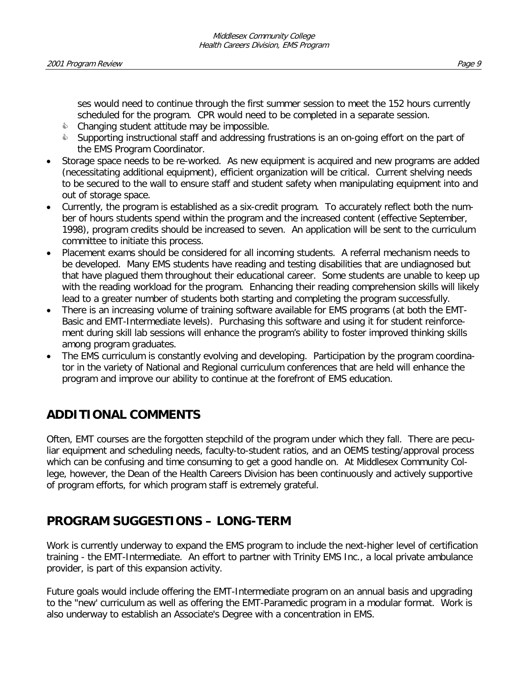ses would need to continue through the first summer session to meet the 152 hours currently scheduled for the program. CPR would need to be completed in a separate session.

- $\Diamond$  Changing student attitude may be impossible.
- **Supporting instructional staff and addressing frustrations is an on-going effort on the part of** the EMS Program Coordinator.
- Storage space needs to be re-worked. As new equipment is acquired and new programs are added (necessitating additional equipment), efficient organization will be critical. Current shelving needs to be secured to the wall to ensure staff and student safety when manipulating equipment into and out of storage space.
- Currently, the program is established as a six-credit program. To accurately reflect both the number of hours students spend within the program and the increased content (effective September, 1998), program credits should be increased to seven. An application will be sent to the curriculum committee to initiate this process.
- Placement exams should be considered for all incoming students. A referral mechanism needs to be developed. Many EMS students have reading and testing disabilities that are undiagnosed but that have plagued them throughout their educational career. Some students are unable to keep up with the reading workload for the program. Enhancing their reading comprehension skills will likely lead to a greater number of students both starting and completing the program successfully.
- There is an increasing volume of training software available for EMS programs (at both the EMT-Basic and EMT-Intermediate levels). Purchasing this software and using it for student reinforcement during skill lab sessions will enhance the program's ability to foster improved thinking skills among program graduates.
- The EMS curriculum is constantly evolving and developing. Participation by the program coordinator in the variety of National and Regional curriculum conferences that are held will enhance the program and improve our ability to continue at the forefront of EMS education.

## **ADDITIONAL COMMENTS**

Often, EMT courses are the forgotten stepchild of the program under which they fall. There are peculiar equipment and scheduling needs, faculty-to-student ratios, and an OEMS testing/approval process which can be confusing and time consuming to get a good handle on. At Middlesex Community College, however, the Dean of the Health Careers Division has been continuously and actively supportive of program efforts, for which program staff is extremely grateful.

## **PROGRAM SUGGESTIONS – LONG-TERM**

Work is currently underway to expand the EMS program to include the next-higher level of certification training - the EMT-Intermediate. An effort to partner with Trinity EMS Inc., a local private ambulance provider, is part of this expansion activity.

Future goals would include offering the EMT-Intermediate program on an annual basis and upgrading to the "new' curriculum as well as offering the EMT-Paramedic program in a modular format. Work is also underway to establish an Associate's Degree with a concentration in EMS.